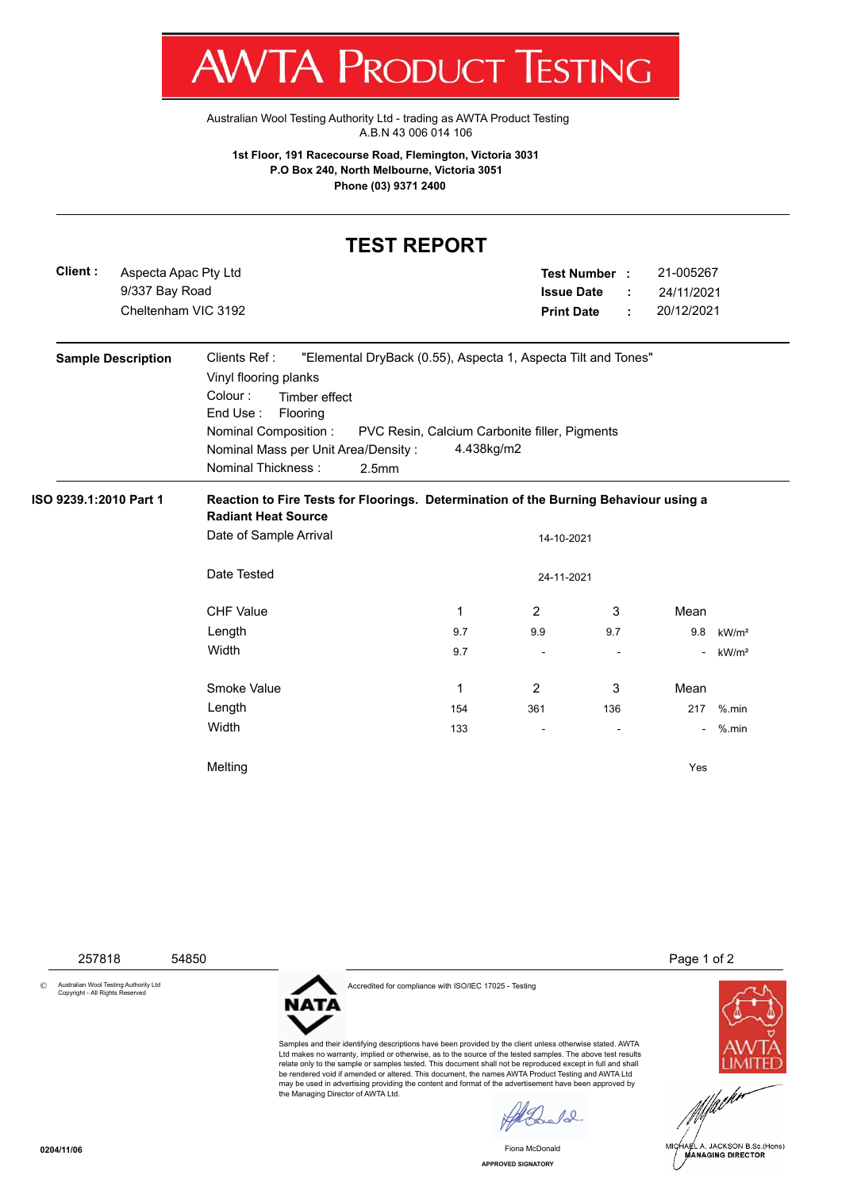|                                                                                                                                  |                                                               | Australian Wool Testing Authority Ltd - trading as AWTA Product Testing                                                                                                                                    | A.B.N 43 006 014 106                                                                                                         |                                                                                                                  |                                 |      |                                        |
|----------------------------------------------------------------------------------------------------------------------------------|---------------------------------------------------------------|------------------------------------------------------------------------------------------------------------------------------------------------------------------------------------------------------------|------------------------------------------------------------------------------------------------------------------------------|------------------------------------------------------------------------------------------------------------------|---------------------------------|------|----------------------------------------|
| 1st Floor, 191 Racecourse Road, Flemington, Victoria 3031<br>P.O Box 240, North Melbourne, Victoria 3051<br>Phone (03) 9371 2400 |                                                               |                                                                                                                                                                                                            |                                                                                                                              |                                                                                                                  |                                 |      |                                        |
|                                                                                                                                  |                                                               |                                                                                                                                                                                                            | <b>TEST REPORT</b>                                                                                                           |                                                                                                                  |                                 |      |                                        |
| Client:                                                                                                                          | Aspecta Apac Pty Ltd<br>9/337 Bay Road<br>Cheltenham VIC 3192 |                                                                                                                                                                                                            |                                                                                                                              | 21-005267<br><b>Test Number:</b><br><b>Issue Date</b><br>24/11/2021<br>÷<br>20/12/2021<br><b>Print Date</b><br>÷ |                                 |      |                                        |
|                                                                                                                                  | <b>Sample Description</b>                                     | Clients Ref:<br>Vinyl flooring planks<br>Colour:<br>Timber effect<br>End Use:<br>Flooring<br><b>Nominal Composition:</b><br>Nominal Mass per Unit Area/Density:<br>Nominal Thickness:<br>2.5 <sub>mm</sub> | "Elemental DryBack (0.55), Aspecta 1, Aspecta Tilt and Tones"<br>PVC Resin, Calcium Carbonite filler, Pigments<br>4.438kg/m2 |                                                                                                                  |                                 |      |                                        |
| ISO 9239.1:2010 Part 1                                                                                                           |                                                               | Reaction to Fire Tests for Floorings. Determination of the Burning Behaviour using a<br><b>Radiant Heat Source</b><br>Date of Sample Arrival<br>14-10-2021                                                 |                                                                                                                              |                                                                                                                  |                                 |      |                                        |
|                                                                                                                                  |                                                               | Date Tested<br>24-11-2021                                                                                                                                                                                  |                                                                                                                              |                                                                                                                  |                                 |      |                                        |
|                                                                                                                                  |                                                               | <b>CHF Value</b>                                                                                                                                                                                           | $\mathbf{1}$                                                                                                                 | $\overline{2}$                                                                                                   | 3                               | Mean |                                        |
|                                                                                                                                  |                                                               | Length<br>Width                                                                                                                                                                                            | 9.7<br>9.7                                                                                                                   | 9.9<br>$\overline{\phantom{a}}$                                                                                  | 9.7<br>$\overline{\phantom{a}}$ | 9.8  | kW/m <sup>2</sup><br>kW/m <sup>2</sup> |
|                                                                                                                                  |                                                               | Smoke Value                                                                                                                                                                                                | $\mathbf{1}$                                                                                                                 | 2                                                                                                                | 3                               | Mean |                                        |
|                                                                                                                                  |                                                               | Length<br>Width                                                                                                                                                                                            | 154<br>133                                                                                                                   | 361                                                                                                              | 136                             | 217  | $%$ .min<br>$%$ .min                   |
|                                                                                                                                  |                                                               | Melting                                                                                                                                                                                                    |                                                                                                                              |                                                                                                                  |                                 | Yes  |                                        |

7 W V 17 V

ш

**NULLUL LESTINU** 

© Australian Wool Testing Authority Ltd Copyright - All Rights Reserved



Accredited for compliance with ISO/IEC 17025 - Testing

Samples and their identifying descriptions have been provided by the client unless otherwise stated. AWTA Ltd makes no warranty, implied or otherwise, as to the source of the tested samples. The above test results<br>relate only to the sample or samples tested. This document shall not be reproduced except in full and shall<br>be ren may be used in advertising providing the content and format of the advertisement have been approved by the Managing Director of AWTA Ltd.

Malada.

Fiona McDonald

257818 54850 Page 1 of 2





**APPROVED SIGNATORY**